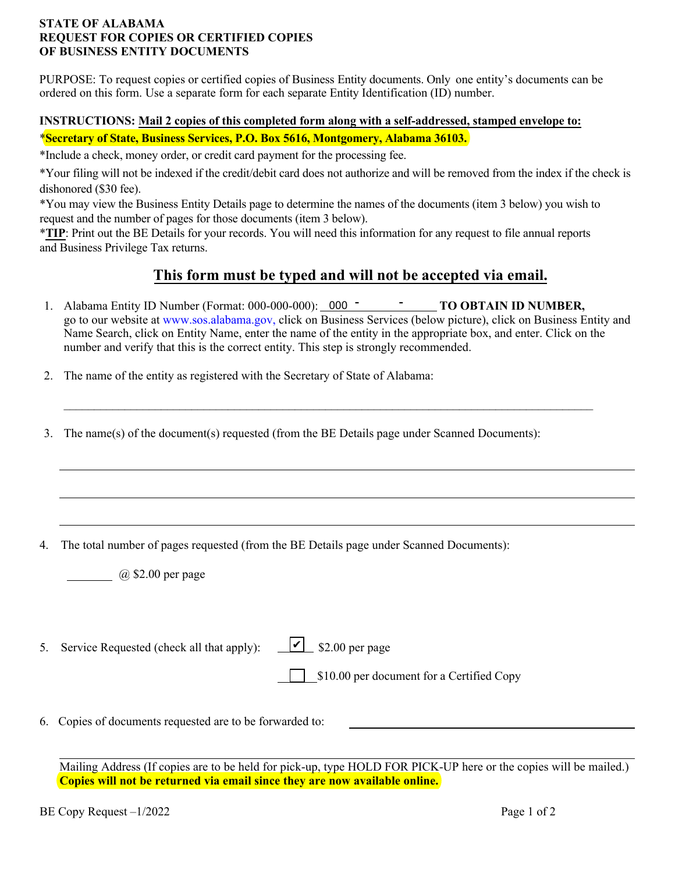### **STATE OF ALABAMA REQUEST FOR COPIES OR CERTIFIED COPIES OF BUSINESS ENTITY DOCUMENTS**

PURPOSE: To request copies or certified copies of Business Entity documents. Only one entity's documents can be ordered on this form. Use a separate form for each separate Entity Identification (ID) number.

## **INSTRUCTIONS: Mail 2 copies of this completed form along with a self-addressed, stamped envelope to:** \***Secretary of State, Business Services, P.O. Box 5616, Montgomery, Alabama 36103.**

\*Include a check, money order, or credit card payment for the processing fee.

\*Your filing will not be indexed if the credit/debit card does not authorize and will be removed from the index if the check is dishonored (\$30 fee).

\*You may view the Business Entity Details page to determine the names of the documents (item 3 below) you wish to request and the number of pages for those documents (item 3 below).

\***TIP**: Print out the BE Details for your records. You will need this information for any request to file annual reports and Business Privilege Tax returns.

# **This form must be typed and will not be accepted via email.**

1. Alabama Entity ID Number (Format: 000-000-000): 000 <sup>-</sup> <sup>-</sup> TO OBTAIN ID NUMBER, go to our website at www.sos.alabama.gov, click on Business Services (below picture), click on Business Entity and Name Search, click on Entity Name, enter the name of the entity in the appropriate box, and enter. Click on the number and verify that this is the correct entity. This step is strongly recommended.

 $\_$ 

- 2. The name of the entity as registered with the Secretary of State of Alabama:
- 3. The name(s) of the document(s) requested (from the BE Details page under Scanned Documents):

4. The total number of pages requested (from the BE Details page under Scanned Documents):

@ \$2.00 per page

5. Service Requested (check all that apply):  $\sqrt{\phantom{a}}$  \$2.00 per page

\$10.00 per document for a Certified Copy

6. Copies of documents requested are to be forwarded to:

Mailing Address (If copies are to be held for pick-up, type HOLD FOR PICK-UP here or the copies will be mailed.) **Copies will not be returned via email since they are now available online.**